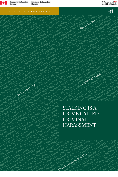

Canada

**CTIM SA CIMBYT, VICE AL HARASSMENT, JP. 17 L CODE, CRIMINAL GRAM**<br>SMENT, CRIMINAL CRIMINAL<br>AL HARA, CRIMINAL CODE, CRI<br>L CODE, CRIMINAL CODE 264, C **ENERGY CODE, CRIMINAL CODE, CRIMINAL**<br>SMENT CRIMINAL CODE, CRIMINAL<br>SLIMBA CRIMINAL CODE, CRIMINAL<br>LOOPE, CRIMINAL CON 264, SECRET<br>LOOPE, CRIMINAL CONE, CRIMINAL CORMINAL **AFFITY CITMENT, VICTION 264, CRIMINAL CODE CARRETTING 264, CRIMINAL CODE CARRETTING 264, CRIMINAL CONDECTION 264, CRIMINAL CONDECTION 264, CRIMINAL CONDECTION 264, CRIMINAL CONDECTION 264, CRIMINAL CONDECTION 264, CRIMINA** ENT, VICTIMENT, VICTION SAFETY **125 SAFETY 125 SAFETY 125 SAFETY 125 SAFETY 125 SAFETY 125 SAFETY 264, CRIMINAL SAFETY 264, CRIMINAL SAFETY 264, CRIMINAL SAFETY 264, CRIMINAL SAFETY 264, CRIMINAL SAFETY 264, CRIMINAL SAFET** AL HARASSMENT, VICTIM SAFETY • SECTION 26 A HARASSMENT, VICTIM SAFETY • SECTION 20 A HARASSMENT, VICTIM SAFETY • SAFETY • SAFETY • SAFETY • SAFETY • SAFETY • SAFETY • SAFETY • SAFETY • SAFETY • SAFETY • SAFETY • SAFETY • S IN BUT ACTIVE THE CRIMINAL HARASSMENT AND SAFETY **+ SECTION SAFETY + CRIMINAL HARASSMENT ACTIVE SAFETY + SECTION**<br>BARASSMENT CRIMINAL HARASSMENT ACTIVE SAFETY + CARD EXPRESSMENT + SECTION + SAFETY + VICTIM SSMENT<br>LOOPEY OF CRIMINAL TOTOR CODE, CRIMINAL TOP SECTION 364, CRIMINAL CODE, CRIMINAL TOP SECTION 364, CRIMINAL CODE, CRIMINAL TOP SECTION 364, CRIMINAL TOP SECTION 364, CRIMINAL CODE, CRIMINAL TOP SECTION 364, CRIMINAL CODE, CRIMINAL CO ER THE PROTECTION 264, CRIMINAL CODE, CRIMINAL CODE, CRIMINAL CODE, CRIMINAL CODE, CRIMINAL CODE, CRIMINAL CODE, CRIMINAL CODE, CRIMINAL CODE, CRIMINAL CODE, CRIMINAL CODE, CRIMINAL CODE, CRIMINAL CODE, CRIMINAL CODE, CRIM IN A SAFETY **• CRIMINAL CODE, CRIMINAL CODE, CRIMINAL CODE, CRIMINAL CODE, CRIMINAL CODE, CRIMINAL CODE, CRIMINAL CODE, CRIMINAL CODE, CRIMINAL CODE, CRIMINAL CODE, CRIMINAL CODE, CRIMINAL CODE, CRIMINAL CODE, CRIMINAL COD** 

**CRIMES AND RESPONSE CRIMINAL SAFETY • SECTION 264, CRIMINAL CODE, CRIMINAL CODE, CRIMINAL CODE, CRIMINAL CODE, CRIMINAL CODE, CRIMINAL CODE, CRIMINAL CODE, CRIMINAL CODE, CRIMINAL CODE, CRIMINAL CORPORATION 264, CRIMINAL** AL CODE, CRIMINAL HARASSMENT, VICTIMENT, VICTIMENT, VICTIMENT, VICTIMENT, VICTIMENT, VICTIMENT, VICTIMENT, VICTIMENT, VICTIMENT, VICTIMENT, VICTIMENT, VICTIMENT, VICTIMENT, VICTIMENT, VICTIMENT, VICTIMENT, VICTIMENT, VICTI

**ETY • SECTION 264, CRIMINAL CODE, CRIMINAL HARASSMENT, VICTIM SAFETY • SECTION 264, MENT, VICTIM SAFETY • SECTION 264, CRIMINAL CODE, CRIMINAL HARASSMENT, VICTIM SAFETY •**  FOR THE PASSES AND THE CONSTRAINT CONTROL TO CONSTRAINT CONTROL TO CONTROL TO CONTROL TO CONTROL TO CONTROL TO CONTROL TO CONTROL TO CONTROL TO CONTROL TO CONTROL TO CONTROL TO CONTROL TO CONTROL TO CONTROL TO CONTROL TO C AL CONFIDENT FOR A CONFIDENT FOR A CONFIDENT FOR A CONFIDENT FOR A CONFIDENT FOR A CONFIDENT FOR A CONFIDENT FOR A CONFIDENT FOR A CONFIDENT FOR A CONFIDENT FOR A CONFIDENT FOR A CONFIDENT FOR A CONFIDENT FOR A CONFIDENT F **CRIMINAL CODE, CRIMINAL HARASSMENT, VICTIM SAFETY • SECTION 264, CRIMINAL CODE, CRIMINAL • SECTION 264, CRIMINAL CODE, CRIMINAL HARASSMENT, VICTIM SAFETY • SECTION 264, CRIMINAL <sup>C</sup>** THE THIRD CONTROL THREE THIS CONTROL THREE THIS CONTROL THREE THIS CONTROL THREE THIS CONTROL THIS CONTROL THIS CONTROL THIS CONTROL THIS CONTROL THIS CONTROL THIS CONTROL THIS CONTROL THIS CONTROL THIS CONTROL THIS CONTRO

# Canadä

 $\boxed{1}$ 

# HARASS HARASS HARASS HARASS HARASS HARASS HARASS HARASS HARASS HARASS HARASS HARASS HARASS HARASS HARASS HARASS HARASS HARASS HARASS HARASS HARASS HARASS HARASS HARASS HARASS HARASS HARASS HARASS HARASS HARASS HARASS HARAS **ION 264, CRIMINAL CODE, CRIMINAL HARASSMENT, VICTIM SAFETY • SECTION 264, CRIMINA SERVING CANADIANS**



**SAMPLANT CRIMPINAL 26**<br>CRIMPODE, CRIMPINAL 26<br>LINALCODE, SECTION 26<br>LINALCON 264, SECTION<br>SECTION 27 LINALS COVEA, CECTLETY •<br>TLON 264, SECTLETY **MENT, VICTIM**<br>CTIM SAFCTIM<br>CTIM : VICTIMS<br>GENT : HARAM **ALLARAS RIMI**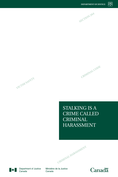

**CRIMINAL CODE**



STALKING IS A CRIME CALLED **CRIMINAL** HARASSMENT

**CRIMINAL HARASSMENT**



Department of Justice Canada

Ministère de la Justice Canada

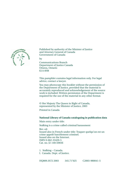

Published by authority of the Minister of Justice and Attorney General of Canada Government of Canada by Communications Branch

Department of Justice Canada Ottawa, Ontario K1A 0H8

This pamphlet contains legal information only. For legal advice, contact a lawyer.

You may photocopy this booklet without the permission of the Department of Justice, provided that the material is accurately reproduced and acknowledgement of the source work is included. Written permission of the Department is required for the use of the material in any other format.

© Her Majesty The Queen in Right of Canada, represented by the Minister of Justice, 2003 Printed in Canada

# **National Library of Canada cataloguing in publication data**

Main entry under title:

Stalking is a crime called criminal harassment Rev. ed. Issued also in French under title: Traquer quelqu'un est un crime appelé harcèlement criminel. Issued also on the Internet. ISBN 0-662-33420-5 Cat. no. J2-140/2003E

1. Stalking – Canada.

I. Canada. Dept. of Justice.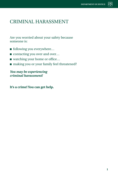# CRIMINAL HARASSMENT

Are you worried about your safety because someone is:

- following you everywhere...
- contacting you over and over...
- watching your home or office...
- making you or your family feel threatened?

*You may be experiencing criminal harassment!*

**It's a crime! You can get help.**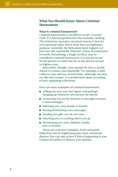# **What You Should Know About Criminal Harassment**

# **What is criminal harassment?**

Criminal harassment is an offence in the *Criminal Code*. It is *harassing* behaviour that includes *stalking*. The behaviour must give you good reason to fear for your personal safety and it must have no legitimate purpose. Generally, the behaviour must happen not just once but repeatedly. However, where the behaviour is overtly threatening, a single incident may be considered criminal harassment. It is not an excuse for the person to claim that he or she did not intend to frighten you.

Remember, though, some people do have a lawful reason to contact you repeatedly. For example, a debt collector may call you several times. Although you may not like this contact, it is lawful when done according to laws regulating collections.

Here are some examples of criminal harassment:

- calling you over and over again, and perhaps hanging up whenever you answer the phone
- contacting you on the Internet or through constant e-mail messages
- following you, your family or friends
- leaving threatening voice messages
- sending you gifts you do not want
- watching you or tracking where you go
- threatening you, your children, family, pets or friends

These are common examples. Such unwanted behaviour can be frightening and cause emotional distress. You can take action if this is happening to you. Contact the police to discuss your options.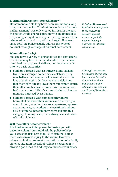### **Is criminal harassment something new?**

Harassment and stalking have been around for a long time, but the specific *Criminal Code* offence of "criminal harassment" was only created in 1993. In the past, the police would charge a person with an offence like trespassing at night, loitering or uttering threats. These crimes still exist and may still be charged. However, since 1993 the police usually address this type of conduct through a charge of criminal harassment.

### **Who stalks and why?**

Stalkers have a variety of personalities and characteristics. Some may have a mental disorder. Experts have described many types of stalkers, but they mostly fit into two basic categories:

- **Stalkers obsessed with a stranger:** Some stalkers fixate on a stranger, sometimes a celebrity. They may believe their conduct will eventually win the love of their victim. Or they may have delusions that the victim already loves them but cannot return their affection because of some external influence. In Canada, about 12% of victims of criminal harassment are harassed by a stranger.
- **Stalkers obsessed with someone they know:** Many stalkers know their victims and are trying to control them, whether they are ex-partners, spouses, acquaintances, co-workers or close friends. About 88% of criminal harassment victims fall into this category. In many cases, the stalking is an extension of family violence.

## **Will the stalker become violent?**

It is hard to know if the person harassing you will become violent. You should ask the police to help you assess the risk. Less than 1% of criminal harassment cases involve injury to the victim. However, when criminal harassment is a continuation of a family violence situation the risk of violence is greater. It is always a good idea to find ways to increase your safety.

*Criminal Harassment legislation is a response to the increasing violence against women, especially women leaving a marriage or intimate relationship.*

*Although anyone can be a victim of criminal harassment, Statistics Canada data show that about 8 out of 10 victims are women, and 9 out of 10 stalkers are men.*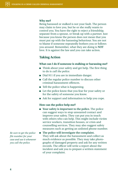#### **Why me?**

Being harassed or stalked is not your fault. The person may claim to love you, but he or she really wants to control you. You have the right to reject a friendship, separate from a spouse, or break up with a partner. Just because you know the person does not mean that you must put up with the harassing behaviour. You are not to blame if someone repeatedly bothers you or follows you around. Remember, what they are doing is **NOT** love. It is against the law and you can take action.

# **Taking Action**

#### **What can I do if someone is stalking or harassing me?**

- Think about your safety and get help. The first thing to do is *call the police*.
- Dial 911 if you are in immediate danger.
- Call the regular police number to discuss other criminal harassment offences.
- Tell the police what is happening.
- Let the police know that you fear for your safety or for the safety of someone you know.
- Ask for support and information to help you cope.

#### **How can the police help me?**

■ **Your safety is important to the police.** The police can suggest ways to stop unwanted contact and improve your safety. They can put you in touch with others who can help. This might include victim service workers, transition houses, or crisis and counselling services. They may also suggest safety measures such as getting an unlisted phone number.

■ **The police will investigate the complaint.** They will ask about the harassment and collect as much evidence as possible. They may take photographs of damaged property and ask for any written records. The officer will write a report about the incident and ask you to prepare a written statement of your complaint.

*Be sure to get the police file number for your case and use it whenever you call the police.*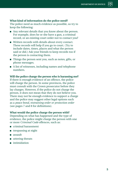# **What kind of information do the police need?**

The police need as much evidence as possible, so try to keep the following:

- Any relevant details that you know about the person. For example, does he or she have a gun, a criminal record, or an existing court order not to contact you?
- Written records with details about every contact. These records will help if you go to court. (Try to include dates, times, places and what the person said or did.) Ask your friends to keep records too if the person is contacting them.
- Things the person sent you, such as notes, gifts, or phone messages.
- A list of witnesses, including names and telephone numbers.

# **Will the police charge the person who is harassing me?**

If there is enough evidence of an offence, the police will charge the person. In some provinces, the police must consult with the Crown prosecutor before they lay charges. However, if the police do not charge the person, it does not mean that they do not believe you. There may not be enough evidence to support a charge and the police may suggest other legal options such as a *peace bond, restraining order or protection order* (see pages 7 and 8 for definitions).

#### **What would the police charge the person with?**

Depending on what has happened and the type of evidence, the police might charge the person with one or more *Criminal Code* offences, such as:

- criminal harassment
- trespassing at night
- assault
- uttering threats
- intimidation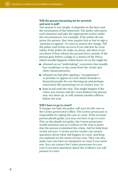# **Will the person harassing me be arrested and sent to jail?**

The answer is not simple. It depends on the facts and the seriousness of the behaviour. The police will assess each situation and take the appropriate action under the circumstances. For example, if the police do not arrest the person, they may require him or her to sign a "promise to appear" in court to answer the charge. Tell the police and victim services if you still fear for your safety. If the police do make an arrest, ask them to let you know if they release the person from custody. If the person goes before a judge or a Justice of the Peace, which usually happens within hours, he or she might be:

- released on an "undertaking" (a promise that usually has conditions to stay away from the victim and other related persons);
- released on bail after signing a "recognizance" (a promise to appear in court which includes a financial penalty for not showing up and perhaps restrictions like promising not to contact you); or
- kept in jail until the trial. This might happen if the crime was serious and the court believes the person may not show up, or will commit another offence before the trial.

### **Will I have to go to court?**

If charges are laid, the police will turn the file over to the Crown prosecutor's office. The Crown prosecutor is responsible for taking the case to court. If the accused person pleads guilty, you may not have to go to court. If he or she pleads not guilty, the Crown prosecutor would summon you as a witness at the trial to prove that the person committed the crime. Ask for help from victim services. A victim service worker can answer questions about what will happen in court, and keep you updated on the status of your case. They can also make sure you have an interpreter in court if you need one. You can contact the Crown prosecutor in your case if you have questions about the evidence you will present in court.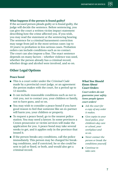# **What happens if the person is found guilty?**

If the accused person pleads guilty or is found guilty, the judge will decide the sentence. Before sentencing, you can give the court a written victim impact statement describing how the crime affected you. If you wish, you may read the statement at the sentencing hearing. The sentence for a criminal harassment conviction may range from jail in the most serious cases (up to 10 years) to probation in less serious cases. Probation orders can include conditions such as no contact. The court can also impose a fine. The exact sentence depends on many factors – whether violence was used, whether the person already has a criminal record, whether drugs and alcohol were involved, and so on.

# **Other Legal Options**

# **Peace bond**

- This is a court order under the *Criminal Code* made by a provincial court judge, or an agreement the person makes with the court, for a period up to 12 months.
- It can include reasonable conditions such as not to visit you, not to contact you, your children or family, not to have guns, and so on.
- You may wish to consider a peace bond if you have good reason to feel that someone like an ex-partner will harm you, your children or property.
- To request a peace bond, go to the nearest police station. You may need a lawyer. In some provinces a Crown prosecutor or victim services will make the application for you. A peace bond may take several weeks to get, and it applies only in the province that issued it.
- If the person breaks any conditions, call the police immediately. This person may be charged for breaking conditions, and if convicted, he or she could be sent to jail or fined, or both, and would also get a criminal record.

# *What You Should Know About Court Orders*

*Court orders do not guarantee your safety. Some people ignore court orders!*

- *Ask the court for a copy of any order it makes.*
- *Give copies to your local police, your children's day care or school, your workplace and so on.*
- *Never contact the person or break the conditions yourself.*
- *Continue to take care.*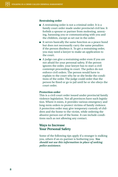#### **Restraining order**

- A restraining order is not a criminal order. It is a family court order made under provincial civil law. It forbids a spouse or partner from molesting, annoying, harassing you or communicating with you and the children, except as set out in the order.
- It serves basically the same function as a peace bond but does not necessarily carry the same penalties if the person disobeys it. To get a restraining order, you may need a lawyer to make an application to the court.
- A judge can give a restraining order even if you are not afraid for your personal safety. If the person ignores the order, your lawyer has to start a civil contempt proceeding in court. The police do not enforce civil orders. The person would have to explain to the court why he or she broke the conditions of the order. The judge could order that the person be fined or go to jail until he or she obeys the court order.

#### **Protection order**

This is a civil court order issued under provincial family violence legislation. Not all provinces have such legislation. Where it exists, it provides various emergency and long-term orders to protect victims of family violence. A protection order may give temporary custody of children and the home to the victim, while ordering the abusive person out of the home. It can include conditions such as not allowing any contact.

# **Ways to Increase Your Personal Safety**

Some of the following tips apply if a stranger is stalking you, others if an ex-partner is bothering you. *You should not use this information in place of seeking police assistance.*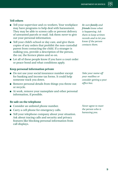# **Tell others**

- Tell your supervisor and co-workers. Your workplace may have programs to help deal with harassment. They may be able to screen calls or prevent delivery of unwanted parcels or mail. Ask them *never* to give out your personal information.
- Tell your child's school or day care, and give them copies of any orders that prohibit the non-custodial parent from contacting the child. If a stranger is stalking you, provide a description of the person, the car, the licence plates and so on.
- Let all of these people know if you have a court order or peace bond and what conditions apply.

# **Keep personal information private**

- Do not use your social insurance number except for banking and income tax forms. It could help someone track you down.
- Remove personal details from things you throw out or recycle.
- At work, remove your nameplate and other personal information, if possible.

# **Be safe on the telephone**

- Consider an unlisted phone number.
- Carry a cell phone for emergency calls.
- Tell your telephone company about your situation. Ask about tracing calls and security and privacy features like blocking personal information from call displays.

*Be sure family and friends know what is happening. Ask them to keep written records and to let you know if the person contacts them.*

*Take your name off your mailbox or consider getting a post office box.*

*Never agree to meet the person who is harassing you.*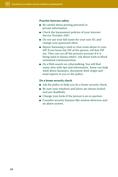#### **Practise Internet safety**

- Be careful about posting personal or private information.
- Check the harassment policies of your Internet Service Provider (ISP).
- Do not use your full name for your user ID, and change your password often.
- Report harassing e-mail or chat room abuse to your ISP. If you know the ISP of the person, tell that ISP too. They can cut off the person's account if it is being used to harass others. Ask about tools to block unwanted communication.
- Do a Web search on cyberstalking. You will find many sites with tips and information. Some can help track down harassers, document their origin and send reports to you or the police.

## **Do a home security check**

- Ask the police to help you do a home security check.
- Be sure your windows and doors are always locked and use deadbolts.
- Change your locks if the person is an ex-partner.
- Consider security features like motion detectors and an alarm system.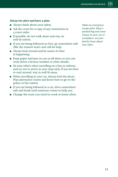# **Always be alert and have a plan**

- Always think about your safety.
- Ask the court for a copy of any restrictions in a court order.
- If possible, do not walk alone and stay on well-lit streets.
- If you are being followed on foot, go somewhere safe (like the nearest store) and call for help.
- Always look around and be aware of what is happening.
- Keep paper and pen on you at all times so you can write down a licence number or other details.
- Sit near others when travelling on a bus or subway, and try not to arrive at your stop early. If you do have to wait around, stay in well-lit areas.
- When travelling in your car, always lock the doors. Plan alternative routes and know how to get to the police or fire station.
- If you are being followed in a car, drive somewhere safe and honk until someone comes to help you.
- Change the route you travel to work or home often.

*Make an emergency escape plan. Keep a packed bag and some money in your car or workplace. Let your family know about your plan.*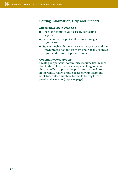# **Getting Information, Help and Support**

#### **Information about your case**

- Check the status of your case by contacting the police.
- Be sure to use the police file number assigned to your case.
- Stay in touch with the police, victim services and the Crown prosecutor and let them know of any changes to your address or telephone number.

## **Community Resource List**

Create your personal community resource list. In addition to the police, there are a variety of organizations that can offer support or helpful information. Look in the white, yellow or blue pages of your telephone book for contact numbers for the following local or provincial agencies (opposite page):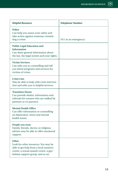| <b>Helpful Resource</b>                                                                                                                                                       | <b>Telephone Number</b> |
|-------------------------------------------------------------------------------------------------------------------------------------------------------------------------------|-------------------------|
| <b>Police</b><br>Can help you assess your safety and<br>take action against someone commit-<br>ting a crime.                                                                  | (911 in an emergency)   |
| <b>Public Legal Education and</b><br><b>Information</b><br>Can share general information about<br>the law, the legal system and your rights.                                  |                         |
| <b>Victim Services</b><br>Can refer you to counselling and tell<br>you about programs and services for<br>victims of crime.                                                   |                         |
| <b>Crisis Line</b><br>May be able to help with crisis interven-<br>tion and refer you to helpful services.                                                                    |                         |
| <b>Transition House</b><br>Can provide shelter, information and<br>referrals for women who are stalked by<br>partners or ex-partners.                                         |                         |
| <b>Mental Health Office</b><br>Can offer information or counselling<br>on depression, stress and mental<br>health issues.                                                     |                         |
| People you trust<br>Family, friends, doctor, or religious<br>adviser may be able to offer emotional<br>support.                                                               |                         |
| <b>Other</b><br>Look for other resources. You may be<br>able to get help from a local women's<br>centre, a sexual assault centre, a gay/<br>lesbian support group, and so on. |                         |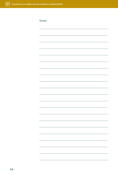Notes: